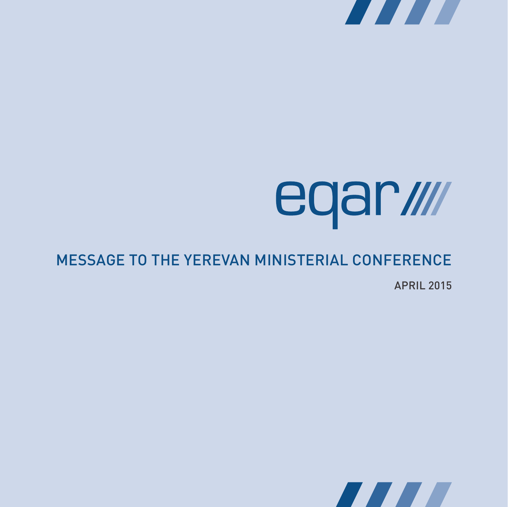

# eqar*illi*

## Message to the Yerevan Ministerial Conference

April 2015

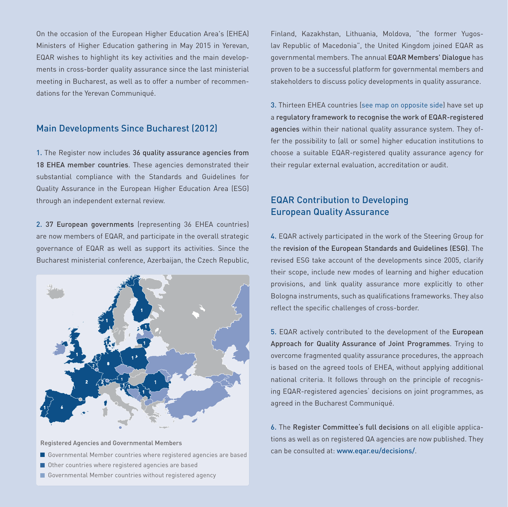On the occasion of the European Higher Education Area's (EHEA) Ministers of Higher Education gathering in May 2015 in Yerevan, EQAR wishes to highlight its key activities and the main developments in cross-border quality assurance since the last ministerial meeting in Bucharest, as well as to offer a number of recommendations for the Yerevan Communiqué.

#### Main Developments Since Bucharest (2012)

1. The Register now includes 36 quality assurance agencies from 18 EHEA member countries. These agencies demonstrated their substantial compliance with the Standards and Guidelines for Quality Assurance in the European Higher Education Area (ESG) through an independent external review.

2. 37 European governments (representing 36 EHEA countries) are now members of EQAR, and participate in the overall strategic governance of EQAR as well as support its activities. Since the Bucharest ministerial conference, Azerbaijan, the Czech Republic,



Registered Agencies and Governmental Members

- Governmental Member countries where registered agencies are based
- Other countries where registered agencies are based
- Governmental Member countries without registered agency

Finland, Kazakhstan, Lithuania, Moldova, "the former Yugoslav Republic of Macedonia", the United Kingdom joined EQAR as governmental members. The annual EQAR Members' Dialogue has proven to be a successful platform for governmental members and stakeholders to discuss policy developments in quality assurance.

3. Thirteen EHEA countries (see map on opposite side) have set up a regulatory framework to recognise the work of EQAR-registered agencies within their national quality assurance system. They offer the possibility to (all or some) higher education institutions to choose a suitable EQAR-registered quality assurance agency for their regular external evaluation, accreditation or audit.

### EQAR Contribution to Developing European Quality Assurance

4. EQAR actively participated in the work of the Steering Group for the revision of the European Standards and Guidelines (ESG). The revised ESG take account of the developments since 2005, clarify their scope, include new modes of learning and higher education provisions, and link quality assurance more explicitly to other Bologna instruments, such as qualifications frameworks. They also reflect the specific challenges of cross-border.

5. EQAR actively contributed to the development of the European Approach for Quality Assurance of Joint Programmes. Trying to overcome fragmented quality assurance procedures, the approach is based on the agreed tools of EHEA, without applying additional national criteria. It follows through on the principle of recognising EQAR-registered agencies' decisions on joint programmes, as agreed in the Bucharest Communiqué.

6. The Register Committee's full decisions on all eligible applications as well as on registered QA agencies are now published. They can be consulted at: www.eqar.eu/decisions/.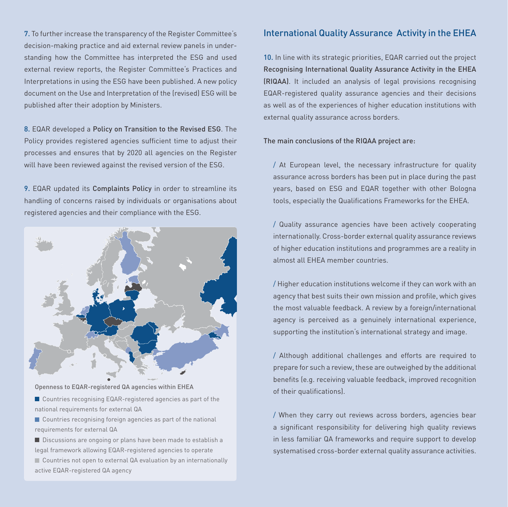7. To further increase the transparency of the Register Committee's decision-making practice and aid external review panels in understanding how the Committee has interpreted the ESG and used external review reports, the Register Committee's Practices and Interpretations in using the ESG have been published. A new policy document on the Use and Interpretation of the (revised) ESG will be published after their adoption by Ministers.

8. EQAR developed a Policy on Transition to the Revised ESG. The Policy provides registered agencies sufficient time to adjust their processes and ensures that by 2020 all agencies on the Register will have been reviewed against the revised version of the ESG.

9. EQAR updated its Complaints Policy in order to streamline its handling of concerns raised by individuals or organisations about registered agencies and their compliance with the ESG.



Openness to EQAR-registered QA agencies within EHEA

- Countries recognising EQAR-registered agencies as part of the national requirements for external QA
- Countries recognising foreign agencies as part of the national requirements for external QA
- Discussions are ongoing or plans have been made to establish a legal framework allowing EQAR-registered agencies to operate ■ Countries not open to external QA evaluation by an internationally active EQAR-registered QA agency

#### International Quality Assurance Activity in the EHEA

10. In line with its strategic priorities, EQAR carried out the project Recognising International Quality Assurance Activity in the EHEA (RIQAA). It included an analysis of legal provisions recognising EQAR-registered quality assurance agencies and their decisions as well as of the experiences of higher education institutions with external quality assurance across borders.

#### The main conclusions of the RIQAA project are:

/ At European level, the necessary infrastructure for quality assurance across borders has been put in place during the past years, based on ESG and EQAR together with other Bologna tools, especially the Qualifications Frameworks for the EHEA.

/ Quality assurance agencies have been actively cooperating internationally. Cross-border external quality assurance reviews of higher education institutions and programmes are a reality in almost all EHEA member countries.

/ Higher education institutions welcome if they can work with an agency that best suits their own mission and profile, which gives the most valuable feedback. A review by a foreign/international agency is perceived as a genuinely international experience, supporting the institution's international strategy and image.

/ Although additional challenges and efforts are required to prepare for such a review, these are outweighed by the additional benefits (e.g. receiving valuable feedback, improved recognition of their qualifications).

/ When they carry out reviews across borders, agencies bear a significant responsibility for delivering high quality reviews in less familiar QA frameworks and require support to develop systematised cross-border external quality assurance activities.